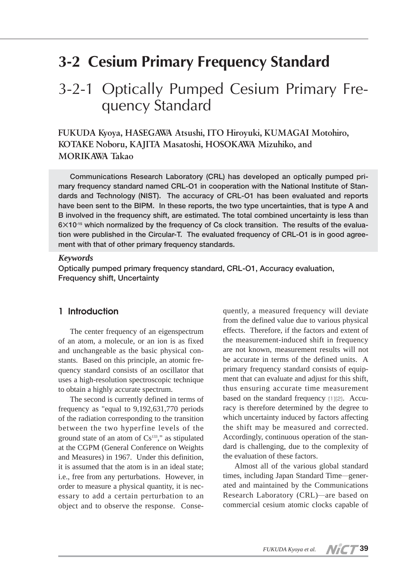# **3-2 Cesium Primary Frequency Standard**

# 3-2-1 Optically Pumped Cesium Primary Frequency Standard

**FUKUDA Kyoya, HASEGAWA Atsushi, ITO Hiroyuki, KUMAGAI Motohiro, KOTAKE Noboru, KAJITA Masatoshi, HOSOKAWA Mizuhiko, and MORIKAWA Takao**

**Communications Research Laboratory (CRL) has developed an optically pumped primary frequency standard named CRL-O1 in cooperation with the National Institute of Standards and Technology (NIST). The accuracy of CRL-O1 has been evaluated and reports have been sent to the BIPM. In these reports, the two type uncertainties, that is type A and B involved in the frequency shift, are estimated. The total combined uncertainty is less than 6×10-15 which normalized by the frequency of Cs clock transition. The results of the evaluation were published in the Circular-T. The evaluated frequency of CRL-O1 is in good agreement with that of other primary frequency standards.**

#### *Keywords*

**Optically pumped primary frequency standard, CRL-O1, Accuracy evaluation, Frequency shift, Uncertainty**

## **1 Introduction**

The center frequency of an eigenspectrum of an atom, a molecule, or an ion is as fixed and unchangeable as the basic physical constants. Based on this principle, an atomic frequency standard consists of an oscillator that uses a high-resolution spectroscopic technique to obtain a highly accurate spectrum.

The second is currently defined in terms of frequency as "equal to 9,192,631,770 periods of the radiation corresponding to the transition between the two hyperfine levels of the ground state of an atom of  $Cs<sup>133</sup>$ ," as stipulated at the CGPM (General Conference on Weights and Measures) in 1967. Under this definition, it is assumed that the atom is in an ideal state; i.e., free from any perturbations. However, in order to measure a physical quantity, it is necessary to add a certain perturbation to an object and to observe the response. Conse-

quently, a measured frequency will deviate from the defined value due to various physical effects. Therefore, if the factors and extent of the measurement-induced shift in frequency are not known, measurement results will not be accurate in terms of the defined units. A primary frequency standard consists of equipment that can evaluate and adjust for this shift, thus ensuring accurate time measurement based on the standard frequency [1][2]. Accuracy is therefore determined by the degree to which uncertainty induced by factors affecting the shift may be measured and corrected. Accordingly, continuous operation of the standard is challenging, due to the complexity of the evaluation of these factors.

Almost all of the various global standard times, including Japan Standard Time―generated and maintained by the Communications Research Laboratory (CRL)―are based on commercial cesium atomic clocks capable of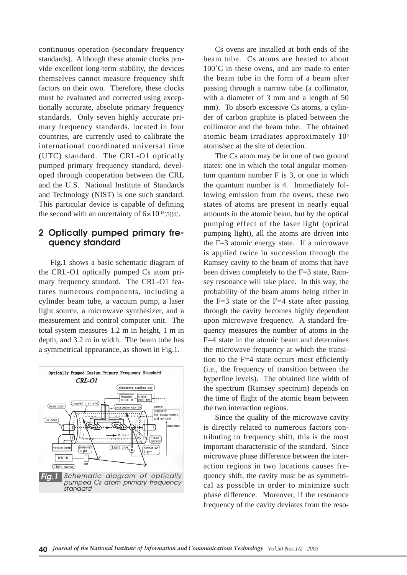continuous operation (secondary frequency standards). Although these atomic clocks provide excellent long-term stability, the devices themselves cannot measure frequency shift factors on their own. Therefore, these clocks must be evaluated and corrected using exceptionally accurate, absolute primary frequency standards. Only seven highly accurate primary frequency standards, located in four countries, are currently used to calibrate the international coordinated universal time (UTC) standard. The CRL-O1 optically pumped primary frequency standard, developed through cooperation between the CRL and the U.S. National Institute of Standards and Technology (NIST) is one such standard. This particular device is capable of defining the second with an uncertainty of  $6 \times 10^{-15}$ [3][4].

## **2 Optically pumped primary frequency standard**

Fig.1 shows a basic schematic diagram of the CRL-O1 optically pumped Cs atom primary frequency standard. The CRL-O1 features numerous components, including a cylinder beam tube, a vacuum pump, a laser light source, a microwave synthesizer, and a measurement and control computer unit. The total system measures 1.2 m in height, 1 m in depth, and 3.2 m in width. The beam tube has a symmetrical appearance, as shown in Fig.1.



Cs ovens are installed at both ends of the beam tube. Cs atoms are heated to about 100<sup>°</sup>C in these ovens, and are made to enter the beam tube in the form of a beam after passing through a narrow tube (a collimator, with a diameter of 3 mm and a length of 50 mm). To absorb excessive Cs atoms, a cylinder of carbon graphite is placed between the collimator and the beam tube. The obtained atomic beam irradiates approximately 108 atoms/sec at the site of detection.

The Cs atom may be in one of two ground states: one in which the total angular momentum quantum number F is 3, or one in which the quantum number is 4. Immediately following emission from the ovens, these two states of atoms are present in nearly equal amounts in the atomic beam, but by the optical pumping effect of the laser light (optical pumping light), all the atoms are driven into the F=3 atomic energy state. If a microwave is applied twice in succession through the Ramsey cavity to the beam of atoms that have been driven completely to the F=3 state, Ramsey resonance will take place. In this way, the probability of the beam atoms being either in the  $F=3$  state or the  $F=4$  state after passing through the cavity becomes highly dependent upon microwave frequency. A standard frequency measures the number of atoms in the F=4 state in the atomic beam and determines the microwave frequency at which the transition to the F=4 state occurs most efficiently (i.e., the frequency of transition between the hyperfine levels). The obtained line width of the spectrum (Ramsey spectrum) depends on the time of flight of the atomic beam between the two interaction regions.

Since the quality of the microwave cavity is directly related to numerous factors contributing to frequency shift, this is the most important characteristic of the standard. Since microwave phase difference between the interaction regions in two locations causes frequency shift, the cavity must be as symmetrical as possible in order to minimize such phase difference. Moreover, if the resonance frequency of the cavity deviates from the reso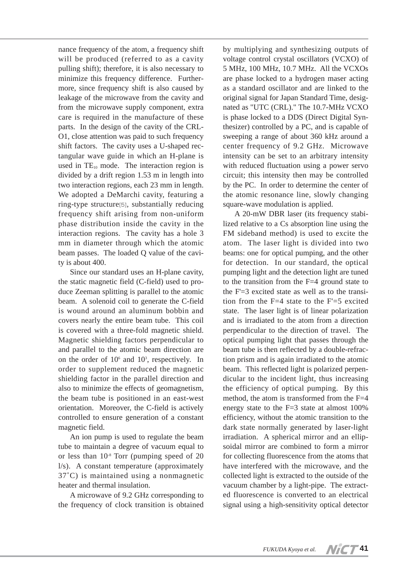nance frequency of the atom, a frequency shift will be produced (referred to as a cavity pulling shift); therefore, it is also necessary to minimize this frequency difference. Furthermore, since frequency shift is also caused by leakage of the microwave from the cavity and from the microwave supply component, extra care is required in the manufacture of these parts. In the design of the cavity of the CRL-O1, close attention was paid to such frequency shift factors. The cavity uses a U-shaped rectangular wave guide in which an H-plane is used in  $TE_{10}$  mode. The interaction region is divided by a drift region 1.53 m in length into two interaction regions, each 23 mm in length. We adopted a DeMarchi cavity, featuring a ring-type structure[5], substantially reducing frequency shift arising from non-uniform phase distribution inside the cavity in the interaction regions. The cavity has a hole 3 mm in diameter through which the atomic beam passes. The loaded Q value of the cavity is about 400.

Since our standard uses an H-plane cavity, the static magnetic field (C-field) used to produce Zeeman splitting is parallel to the atomic beam. A solenoid coil to generate the C-field is wound around an aluminum bobbin and covers nearly the entire beam tube. This coil is covered with a three-fold magnetic shield. Magnetic shielding factors perpendicular to and parallel to the atomic beam direction are on the order of  $10<sup>6</sup>$  and  $10<sup>3</sup>$ , respectively. In order to supplement reduced the magnetic shielding factor in the parallel direction and also to minimize the effects of geomagnetism, the beam tube is positioned in an east-west orientation. Moreover, the C-field is actively controlled to ensure generation of a constant magnetic field.

An ion pump is used to regulate the beam tube to maintain a degree of vacuum equal to or less than  $10^{-8}$  Torr (pumping speed of 20 l/s). A constant temperature (approximately 37˚C) is maintained using a nonmagnetic heater and thermal insulation.

A microwave of 9.2 GHz corresponding to the frequency of clock transition is obtained

by multiplying and synthesizing outputs of voltage control crystal oscillators (VCXO) of 5 MHz, 100 MHz, 10.7 MHz. All the VCXOs are phase locked to a hydrogen maser acting as a standard oscillator and are linked to the original signal for Japan Standard Time, designated as "UTC (CRL)." The 10.7-MHz VCXO is phase locked to a DDS (Direct Digital Synthesizer) controlled by a PC, and is capable of sweeping a range of about 360 kHz around a center frequency of 9.2 GHz. Microwave intensity can be set to an arbitrary intensity with reduced fluctuation using a power servo circuit; this intensity then may be controlled by the PC. In order to determine the center of the atomic resonance line, slowly changing square-wave modulation is applied.

A 20-mW DBR laser (its frequency stabilized relative to a Cs absorption line using the FM sideband method) is used to excite the atom. The laser light is divided into two beams: one for optical pumping, and the other for detection. In our standard, the optical pumping light and the detection light are tuned to the transition from the F=4 ground state to the F'=3 excited state as well as to the transition from the  $F=4$  state to the  $F=5$  excited state. The laser light is of linear polarization and is irradiated to the atom from a direction perpendicular to the direction of travel. The optical pumping light that passes through the beam tube is then reflected by a double-refraction prism and is again irradiated to the atomic beam. This reflected light is polarized perpendicular to the incident light, thus increasing the efficiency of optical pumping. By this method, the atom is transformed from the F=4 energy state to the F=3 state at almost 100% efficiency, without the atomic transition to the dark state normally generated by laser-light irradiation. A spherical mirror and an ellipsoidal mirror are combined to form a mirror for collecting fluorescence from the atoms that have interfered with the microwave, and the collected light is extracted to the outside of the vacuum chamber by a light-pipe. The extracted fluorescence is converted to an electrical signal using a high-sensitivity optical detector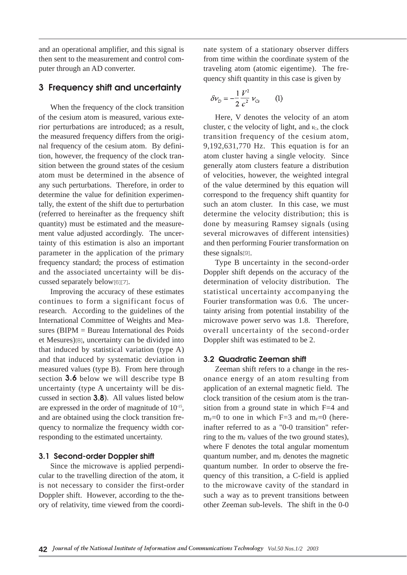and an operational amplifier, and this signal is then sent to the measurement and control computer through an AD converter.

# **3 Frequency shift and uncertainty**

When the frequency of the clock transition of the cesium atom is measured, various exterior perturbations are introduced; as a result, the measured frequency differs from the original frequency of the cesium atom. By definition, however, the frequency of the clock transition between the ground states of the cesium atom must be determined in the absence of any such perturbations. Therefore, in order to determine the value for definition experimentally, the extent of the shift due to perturbation (referred to hereinafter as the frequency shift quantity) must be estimated and the measurement value adjusted accordingly. The uncertainty of this estimation is also an important parameter in the application of the primary frequency standard; the process of estimation and the associated uncertainty will be discussed separately below[6][7].

Improving the accuracy of these estimates continues to form a significant focus of research. According to the guidelines of the International Committee of Weights and Measures (BIPM = Bureau International des Poids et Mesures)[8], uncertainty can be divided into that induced by statistical variation (type A) and that induced by systematic deviation in measured values (type B). From here through section **3.6** below we will describe type B uncertainty (type A uncertainty will be discussed in section **3.8**). All values listed below are expressed in the order of magnitude of 10-15, and are obtained using the clock transition frequency to normalize the frequency width corresponding to the estimated uncertainty.

### **3.1 Second-order Doppler shift**

Since the microwave is applied perpendicular to the travelling direction of the atom, it is not necessary to consider the first-order Doppler shift. However, according to the theory of relativity, time viewed from the coordinate system of a stationary observer differs from time within the coordinate system of the traveling atom (atomic eigentime). The frequency shift quantity in this case is given by

$$
\delta v_{D} = -\frac{1}{2} \frac{V^{2}}{c^{2}} v_{Cs}
$$
 (1)

Here, V denotes the velocity of an atom cluster, c the velocity of light, and  $v_{\text{Cs}}$  the clock transition frequency of the cesium atom, 9,192,631,770 Hz. This equation is for an atom cluster having a single velocity. Since generally atom clusters feature a distribution of velocities, however, the weighted integral of the value determined by this equation will correspond to the frequency shift quantity for such an atom cluster. In this case, we must determine the velocity distribution; this is done by measuring Ramsey signals (using several microwaves of different intensities) and then performing Fourier transformation on these signals[9].

Type B uncertainty in the second-order Doppler shift depends on the accuracy of the determination of velocity distribution. The statistical uncertainty accompanying the Fourier transformation was 0.6. The uncertainty arising from potential instability of the microwave power servo was 1.8. Therefore, overall uncertainty of the second-order Doppler shift was estimated to be 2.

## **3.2 Quadratic Zeeman shift**

Zeeman shift refers to a change in the resonance energy of an atom resulting from application of an external magnetic field. The clock transition of the cesium atom is the transition from a ground state in which F=4 and  $m<sub>F</sub>=0$  to one in which F=3 and  $m<sub>F</sub>=0$  (hereinafter referred to as a "0-0 transition" referring to the  $m_F$  values of the two ground states), where F denotes the total angular momentum quantum number, and  $m_F$  denotes the magnetic quantum number. In order to observe the frequency of this transition, a C-field is applied to the microwave cavity of the standard in such a way as to prevent transitions between other Zeeman sub-levels. The shift in the 0-0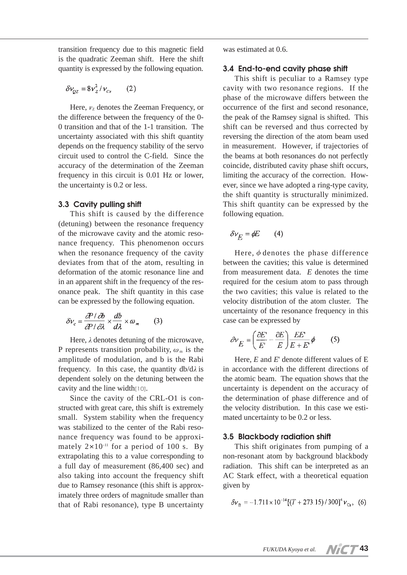transition frequency due to this magnetic field is the quadratic Zeeman shift. Here the shift quantity is expressed by the following equation.

$$
\delta v_{QZ} = 8v_Z^2/v_{Cs} \qquad (2)
$$

Here,  $v<sub>z</sub>$  denotes the Zeeman Frequency, or the difference between the frequency of the 0- 0 transition and that of the 1-1 transition. The uncertainty associated with this shift quantity depends on the frequency stability of the servo circuit used to control the C-field. Since the accuracy of the determination of the Zeeman frequency in this circuit is 0.01 Hz or lower, the uncertainty is 0.2 or less.

## **3.3 Cavity pulling shift**

This shift is caused by the difference (detuning) between the resonance frequency of the microwave cavity and the atomic resonance frequency. This phenomenon occurs when the resonance frequency of the cavity deviates from that of the atom, resulting in deformation of the atomic resonance line and in an apparent shift in the frequency of the resonance peak. The shift quantity in this case can be expressed by the following equation.

$$
\delta v_c = \frac{\partial P}{\partial P/\partial \lambda} \times \frac{db}{d\lambda} \times \omega_m \qquad (3)
$$

Here,  $\lambda$  denotes detuning of the microwave, P represents transition probability,  $\omega_m$  is the amplitude of modulation, and b is the Rabi frequency. In this case, the quantity  $db/d\lambda$  is dependent solely on the detuning between the cavity and the line width[10].

Since the cavity of the CRL-O1 is constructed with great care, this shift is extremely small. System stability when the frequency was stabilized to the center of the Rabi resonance frequency was found to be approximately  $2 \times 10^{-11}$  for a period of 100 s. By extrapolating this to a value corresponding to a full day of measurement (86,400 sec) and also taking into account the frequency shift due to Ramsey resonance (this shift is approximately three orders of magnitude smaller than that of Rabi resonance), type B uncertainty was estimated at 0.6.

## **3.4 End-to-end cavity phase shift**

This shift is peculiar to a Ramsey type cavity with two resonance regions. If the phase of the microwave differs between the occurrence of the first and second resonance, the peak of the Ramsey signal is shifted. This shift can be reversed and thus corrected by reversing the direction of the atom beam used in measurement. However, if trajectories of the beams at both resonances do not perfectly coincide, distributed cavity phase shift occurs, limiting the accuracy of the correction. However, since we have adopted a ring-type cavity, the shift quantity is structurally minimized. This shift quantity can be expressed by the following equation.

$$
\delta v_E = \phi E \qquad (4)
$$

Here,  $\phi$  denotes the phase difference between the cavities; this value is determined from measurement data. *E* denotes the time required for the cesium atom to pass through the two cavities; this value is related to the velocity distribution of the atom cluster. The uncertainty of the resonance frequency in this case can be expressed by

$$
\partial v_E = \left(\frac{\partial E}{E'} - \frac{\partial E}{E}\right) \frac{EE'}{E + E'} \phi \tag{5}
$$

Here, *E* and *E*' denote different values of E in accordance with the different directions of the atomic beam. The equation shows that the uncertainty is dependent on the accuracy of the determination of phase difference and of the velocity distribution. In this case we estimated uncertainty to be 0.2 or less.

### **3.5 Blackbody radiation shift**

This shift originates from pumping of a non-resonant atom by background blackbody radiation. This shift can be interpreted as an AC Stark effect, with a theoretical equation given by

$$
\delta v_{\rm B} = -1.711 \times 10^{-14} [(T + 273.15) / 300]^4 v_{\rm Cs}, \tag{6}
$$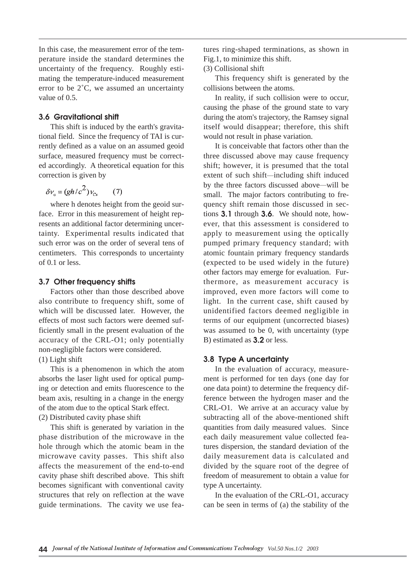In this case, the measurement error of the temperature inside the standard determines the uncertainty of the frequency. Roughly estimating the temperature-induced measurement error to be 2˚C, we assumed an uncertainty value of 0.5.

## **3.6 Gravitational shift**

This shift is induced by the earth's gravitational field. Since the frequency of TAI is currently defined as a value on an assumed geoid surface, measured frequency must be corrected accordingly. A theoretical equation for this correction is given by

$$
\delta v_{\rm g} = (gh/c^2) v_{\rm cs} \qquad (7)
$$

where h denotes height from the geoid surface. Error in this measurement of height represents an additional factor determining uncertainty. Experimental results indicated that such error was on the order of several tens of centimeters. This corresponds to uncertainty of 0.1 or less.

### **3.7 Other frequency shifts**

Factors other than those described above also contribute to frequency shift, some of which will be discussed later. However, the effects of most such factors were deemed sufficiently small in the present evaluation of the accuracy of the CRL-O1; only potentially non-negligible factors were considered. (1) Light shift

This is a phenomenon in which the atom absorbs the laser light used for optical pumping or detection and emits fluorescence to the beam axis, resulting in a change in the energy of the atom due to the optical Stark effect. (2) Distributed cavity phase shift

This shift is generated by variation in the phase distribution of the microwave in the hole through which the atomic beam in the microwave cavity passes. This shift also affects the measurement of the end-to-end cavity phase shift described above. This shift becomes significant with conventional cavity structures that rely on reflection at the wave guide terminations. The cavity we use features ring-shaped terminations, as shown in Fig.1, to minimize this shift.

(3) Collisional shift

This frequency shift is generated by the collisions between the atoms.

In reality, if such collision were to occur, causing the phase of the ground state to vary during the atom's trajectory, the Ramsey signal itself would disappear; therefore, this shift would not result in phase variation.

It is conceivable that factors other than the three discussed above may cause frequency shift; however, it is presumed that the total extent of such shift―including shift induced by the three factors discussed above―will be small. The major factors contributing to frequency shift remain those discussed in sections **3.1** through **3.6**. We should note, however, that this assessment is considered to apply to measurement using the optically pumped primary frequency standard; with atomic fountain primary frequency standards (expected to be used widely in the future) other factors may emerge for evaluation. Furthermore, as measurement accuracy is improved, even more factors will come to light. In the current case, shift caused by unidentified factors deemed negligible in terms of our equipment (uncorrected biases) was assumed to be 0, with uncertainty (type B) estimated as **3.2** or less.

## **3.8 Type A uncertainty**

In the evaluation of accuracy, measurement is performed for ten days (one day for one data point) to determine the frequency difference between the hydrogen maser and the CRL-O1. We arrive at an accuracy value by subtracting all of the above-mentioned shift quantities from daily measured values. Since each daily measurement value collected features dispersion, the standard deviation of the daily measurement data is calculated and divided by the square root of the degree of freedom of measurement to obtain a value for type A uncertainty.

In the evaluation of the CRL-O1, accuracy can be seen in terms of (a) the stability of the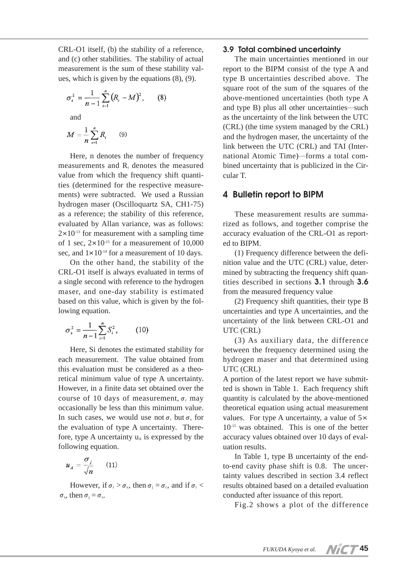CRL-O1 itself, (b) the stability of a reference, and (c) other stabilities. The stability of actual measurement is the sum of these stability values, which is given by the equations (8), (9).

$$
\sigma_r^2 = \frac{1}{n-1} \sum_{i=1}^n (R_i - M)^2, \qquad (8)
$$

and

$$
M=\frac{1}{n}\sum_{i=1}^n R_i\qquad(9)
$$

Here, n denotes the number of frequency measurements and Ri denotes the measured value from which the frequency shift quantities (determined for the respective measurements) were subtracted. We used a Russian hydrogen maser (Oscilloquartz SA, CH1-75) as a reference; the stability of this reference, evaluated by Allan variance, was as follows:  $2\times10^{-13}$  for measurement with a sampling time of 1 sec,  $2\times10^{-15}$  for a measurement of 10,000 sec, and  $1 \times 10^{-14}$  for a measurement of 10 days.

On the other hand, the stability of the CRL-O1 itself is always evaluated in terms of a single second with reference to the hydrogen maser, and one-day stability is estimated based on this value, which is given by the following equation.

$$
\sigma_s^2 = \frac{1}{n-1} \sum_{i=1}^n S_i^2, \qquad (10)
$$

Here, Si denotes the estimated stability for each measurement. The value obtained from this evaluation must be considered as a theoretical minimum value of type A uncertainty. However, in a finite data set obtained over the course of 10 days of measurement,  $\sigma_r$  may occasionally be less than this minimum value. In such cases, we would use not  $\sigma$ , but  $\sigma$ , for the evaluation of type A uncertainty. Therefore, type A uncertainty  $u_A$  is expressed by the following equation.

$$
u_A = \frac{\sigma_j}{\sqrt{n}} \qquad (11)
$$

However, if  $\sigma_r > \sigma_s$ , then  $\sigma_i = \sigma_r$ , and if  $\sigma_r <$  $\sigma_s$ , then  $\sigma_i = \sigma_s$ .

#### **3.9 Total combined uncertainty**

The main uncertainties mentioned in our report to the BIPM consist of the type A and type B uncertainties described above. The square root of the sum of the squares of the above-mentioned uncertainties (both type A and type B) plus all other uncertainties―such as the uncertainty of the link between the UTC (CRL) (the time system managed by the CRL) and the hydrogen maser, the uncertainty of the link between the UTC (CRL) and TAI (International Atomic Time)―forms a total combined uncertainty that is publicized in the Circular T.

## **4 Bulletin report to BIPM**

These measurement results are summarized as follows, and together comprise the accuracy evaluation of the CRL-O1 as reported to BIPM.

(1) Frequency difference between the definition value and the UTC (CRL) value, determined by subtracting the frequency shift quantities described in sections **3.1** through **3.6** from the measured frequency value

(2) Frequency shift quantities, their type B uncertainties and type A uncertainties, and the uncertainty of the link between CRL-O1 and UTC (CRL)

(3) As auxiliary data, the difference between the frequency determined using the hydrogen maser and that determined using UTC (CRL)

A portion of the latest report we have submitted is shown in Table 1. Each frequency shift quantity is calculated by the above-mentioned theoretical equation using actual measurement values. For type A uncertainty, a value of  $5\times$ 10-15 was obtained. This is one of the better accuracy values obtained over 10 days of evaluation results.

In Table 1, type B uncertainty of the endto-end cavity phase shift is 0.8. The uncertainty values described in section 3.4 reflect results obtained based on a detailed evaluation conducted after issuance of this report.

Fig.2 shows a plot of the difference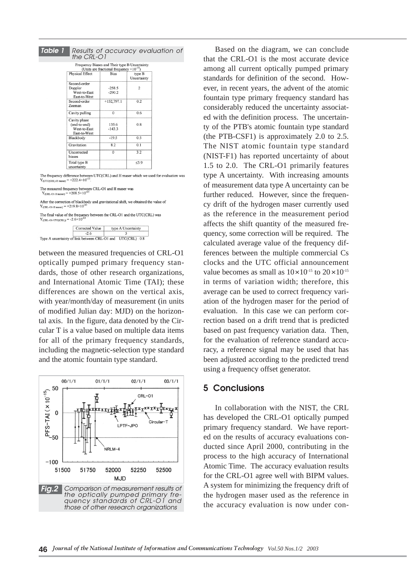| e 1 | Results of accuracy evaluation of<br>the CRI-O1              |                                                     |                       |  |
|-----|--------------------------------------------------------------|-----------------------------------------------------|-----------------------|--|
|     |                                                              | Frequency Biases and Their type B Uncertainty.      |                       |  |
|     |                                                              | (Units are fractional frequency $\times 10^{-15}$ ) |                       |  |
|     | Physical Effect                                              | <b>Bias</b>                                         | type B<br>Uncertainty |  |
|     | Second-order<br>Doppler<br>West-to-East<br>East-to-West      | $-258.5$<br>$-290.2$                                | $\overline{c}$        |  |
|     | Second-order<br>Zeeman                                       | $+152,797.1$                                        | 0.2                   |  |
|     | Cavity pulling                                               | $\Omega$                                            | 0.6                   |  |
|     | Cavity phase<br>(end-to-end)<br>West-to-East<br>East-to-West | 135.6<br>$-143.3$                                   | 0.8                   |  |
|     | Blackbody                                                    | $-19.5$                                             | 0.5                   |  |
|     | Gravitation                                                  | 8.2                                                 | 0.1                   |  |
|     | Uncorrected<br>biases                                        | $\mathbf{0}$                                        | 3.2                   |  |
|     | Total type B<br>uncertainty                                  |                                                     | $<$ 39                |  |

The frequency difference between UTC(CRL) and H maser which we used for evaluation was  $Y_{(\rm UTC(CH.)\!}$  maser)  $=+222.4\times10^{-15}.$ 

The measured frequency between CRL-O1 and H maser was<br> $Y_{\text{(CRL-O1-H maser)}} = +208.5 \times 10^{-15}$ 

*Table 1*

After the correction of blackbody and gravitational shift, we obtained the value of  $V = -1210.8 \times 10^{-15}$  $= +219.8 \times 10$ 

The final value of the frequency between the CRL-O1 and the UTC<br>(CRL) was  $Y_{\rm (CRL-O1\operatorname{-}UTC(CRL))}$  = -2.6×10^15



between the measured frequencies of CRL-O1 optically pumped primary frequency standards, those of other research organizations, and International Atomic Time (TAI); these differences are shown on the vertical axis, with year/month/day of measurement (in units of modified Julian day: MJD) on the horizontal axis. In the figure, data denoted by the Circular T is a value based on multiple data items for all of the primary frequency standards, including the magnetic-selection type standard and the atomic fountain type standard.



Based on the diagram, we can conclude that the CRL-O1 is the most accurate device among all current optically pumped primary standards for definition of the second. However, in recent years, the advent of the atomic fountain type primary frequency standard has considerably reduced the uncertainty associated with the definition process. The uncertainty of the PTB's atomic fountain type standard (the PTB-CSF1) is approximately 2.0 to 2.5. The NIST atomic fountain type standard (NIST-F1) has reported uncertainty of about 1.5 to 2.0. The CRL-O1 primarily features type A uncertainty. With increasing amounts of measurement data type A uncertainty can be further reduced. However, since the frequency drift of the hydrogen maser currently used as the reference in the measurement period affects the shift quantity of the measured frequency, some correction will be required. The calculated average value of the frequency differences between the multiple commercial Cs clocks and the UTC official announcement value becomes as small as  $10\times10^{-15}$  to  $20\times10^{-15}$ in terms of variation width; therefore, this average can be used to correct frequency variation of the hydrogen maser for the period of evaluation. In this case we can perform correction based on a drift trend that is predicted based on past frequency variation data. Then, for the evaluation of reference standard accuracy, a reference signal may be used that has been adjusted according to the predicted trend using a frequency offset generator.

# **5 Conclusions**

In collaboration with the NIST, the CRL has developed the CRL-O1 optically pumped primary frequency standard. We have reported on the results of accuracy evaluations conducted since April 2000, contributing in the process to the high accuracy of International Atomic Time. The accuracy evaluation results for the CRL-O1 agree well with BIPM values. A system for minimizing the frequency drift of the hydrogen maser used as the reference in the accuracy evaluation is now under con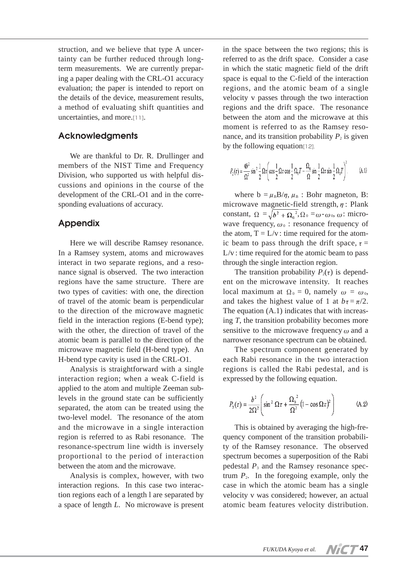struction, and we believe that type A uncertainty can be further reduced through longterm measurements. We are currently preparing a paper dealing with the CRL-O1 accuracy evaluation; the paper is intended to report on the details of the device, measurement results, a method of evaluating shift quantities and uncertainties, and more.[11].

# **Acknowledgments**

We are thankful to Dr. R. Drullinger and members of the NIST Time and Frequency Division, who supported us with helpful discussions and opinions in the course of the development of the CRL-O1 and in the corresponding evaluations of accuracy.

# **Appendix**

Here we will describe Ramsey resonance. In a Ramsey system, atoms and microwaves interact in two separate regions, and a resonance signal is observed. The two interaction regions have the same structure. There are two types of cavities: with one, the direction of travel of the atomic beam is perpendicular to the direction of the microwave magnetic field in the interaction regions (E-bend type); with the other, the direction of travel of the atomic beam is parallel to the direction of the microwave magnetic field (H-bend type). An H-bend type cavity is used in the CRL-O1.

Analysis is straightforward with a single interaction region; when a weak C-field is applied to the atom and multiple Zeeman sublevels in the ground state can be sufficiently separated, the atom can be treated using the two-level model. The resonance of the atom and the microwave in a single interaction region is referred to as Rabi resonance. The resonance-spectrum line width is inversely proportional to the period of interaction between the atom and the microwave.

Analysis is complex, however, with two interaction regions. In this case two interaction regions each of a length l are separated by a space of length *L*. No microwave is present

in the space between the two regions; this is referred to as the drift space. Consider a case in which the static magnetic field of the drift space is equal to the C-field of the interaction regions, and the atomic beam of a single velocity v passes through the two interaction regions and the drift space. The resonance between the atom and the microwave at this moment is referred to as the Ramsey resonance, and its transition probability  $P_2$  is given by the following equation<sup>[12]</sup>.

$$
P_2(\tau) = \frac{4b^2}{\Omega^2} \sin^2 \frac{1}{2} \Omega \tau \left( \cos \frac{1}{2} \Omega \tau \cos \frac{1}{2} \Omega_0 T - \frac{\Omega_0}{\Omega} \sin \frac{1}{2} \Omega \tau \sin \frac{1}{2} \Omega_0 T \right)^2.
$$
 (A.1)

where  $b = \mu_B B/\eta$ ,  $\mu_B$ : Bohr magneton, B: microwave magnetic-field strength,  $\eta$ : Plank constant,  $\Omega = \sqrt{b^2 + \Omega_0^2}$ ,  $\Omega_0 = \omega - \omega_0$ ,  $\omega$ : microwave frequency,  $\omega_0$ : resonance frequency of the atom,  $T = L/v$ : time required for the atomic beam to pass through the drift space,  $\tau$  =  $L/v$ : time required for the atomic beam to pass through the single interaction region.

The transition probability  $P_2(\tau)$  is dependent on the microwave intensity. It reaches local maximum at  $\Omega_0 = 0$ , namely  $ω = ω_0$ , and takes the highest value of 1 at  $b_{\tau} = \pi/2$ . The equation (A.1) indicates that with increasing *T*, the transition probability becomes more sensitive to the microwave frequency  $\omega$  and a narrower resonance spectrum can be obtained.

The spectrum component generated by each Rabi resonance in the two interaction regions is called the Rabi pedestal, and is expressed by the following equation.

$$
P_3(\tau) = \frac{b^2}{2\Omega^2} \left( \sin^2 \Omega \tau + \frac{\Omega_0^2}{\Omega^2} \left( 1 - \cos \Omega \tau \right)^2 \right) \tag{A.2}
$$

This is obtained by averaging the high-frequency component of the transition probability of the Ramsey resonance. The observed spectrum becomes a superposition of the Rabi pedestal *P*<sup>3</sup> and the Ramsey resonance spectrum  $P_2$ . In the foregoing example, only the case in which the atomic beam has a single velocity v was considered; however, an actual atomic beam features velocity distribution.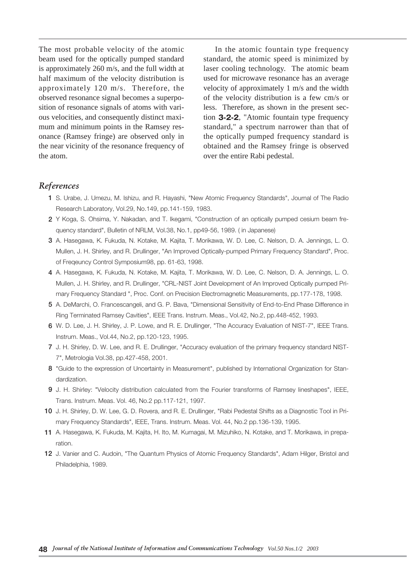The most probable velocity of the atomic beam used for the optically pumped standard is approximately 260 m/s, and the full width at half maximum of the velocity distribution is approximately 120 m/s. Therefore, the observed resonance signal becomes a superposition of resonance signals of atoms with various velocities, and consequently distinct maximum and minimum points in the Ramsey resonance (Ramsey fringe) are observed only in the near vicinity of the resonance frequency of the atom.

In the atomic fountain type frequency standard, the atomic speed is minimized by laser cooling technology. The atomic beam used for microwave resonance has an average velocity of approximately 1 m/s and the width of the velocity distribution is a few cm/s or less. Therefore, as shown in the present section **3-2-2**, "Atomic fountain type frequency standard," a spectrum narrower than that of the optically pumped frequency standard is obtained and the Ramsey fringe is observed over the entire Rabi pedestal.

## *References*

- **1** S. Urabe, J. Umezu, M. Ishizu, and R. Hayashi, "New Atomic Frequency Standards", Journal of The Radio Research Laboratory, Vol.29, No.149, pp.141-159, 1983.
- **2** Y Koga, S. Ohsima, Y. Nakadan, and T. Ikegami, "Construction of an optically pumped cesium beam frequency standard", Bulletin of NRLM, Vol.38, No.1, pp49-56, 1989. ( in Japanese)
- **3** A. Hasegawa, K. Fukuda, N. Kotake, M. Kajita, T. Morikawa, W. D. Lee, C. Nelson, D. A. Jennings, L. O. Mullen, J. H. Shirley, and R. Drullinger, "An Improved Optically-pumped Primary Frequency Standard", Proc. of Freqeuncy Control Symposium98, pp. 61-63, 1998.
- **4** A. Hasegawa, K. Fukuda, N. Kotake, M. Kajita, T. Morikawa, W. D. Lee, C. Nelson, D. A. Jennings, L. O. Mullen, J. H. Shirley, and R. Drullinger, "CRL-NIST Joint Development of An Improved Optically pumped Primary Frequency Standard ", Proc. Conf. on Precision Electromagnetic Measurements, pp.177-178, 1998.
- **5** A. DeMarchi, O. Francescangeli, and G. P. Bava, "Dimensional Sensitivity of End-to-End Phase Difference in Ring Terminated Ramsey Cavities", IEEE Trans. Instrum. Meas., Vol.42, No.2, pp.448-452, 1993.
- **6** W. D. Lee, J. H. Shirley, J. P. Lowe, and R. E. Drullinger, "The Accuracy Evaluation of NIST-7", IEEE Trans. Instrum. Meas., Vol.44, No.2, pp.120-123, 1995.
- **7** J. H. Shirley, D. W. Lee, and R. E. Drullinger, "Accuracy evaluation of the primary frequency standard NIST-7", Metrologia Vol.38, pp.427-458, 2001.
- **8** "Guide to the expression of Uncertainty in Measurement", published by International Organization for Standardization.
- **9** J. H. Shirley: "Velocity distribution calculated from the Fourier transforms of Ramsey lineshapes", IEEE, Trans. Instrum. Meas. Vol. 46, No.2 pp.117-121, 1997.
- **10** J. H. Shirley, D. W. Lee, G. D. Rovera, and R. E. Drullinger, "Rabi Pedestal Shifts as a Diagnostic Tool in Primary Frequency Standards", IEEE, Trans. Instrum. Meas. Vol. 44, No.2 pp.136-139, 1995.
- **11** A. Hasegawa, K. Fukuda, M. Kajita, H. Ito, M. Kumagai, M. Mizuhiko, N. Kotake, and T. Morikawa, in preparation.
- **12** J. Vanier and C. Audoin, "The Quantum Physics of Atomic Frequency Standards", Adam Hilger, Bristol and Philadelphia, 1989.